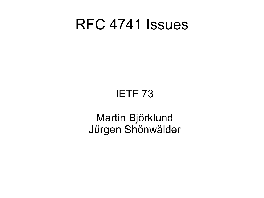## RFC 4741 Issues

## IETF 73

## Martin Björklund Jürgen Shönwälder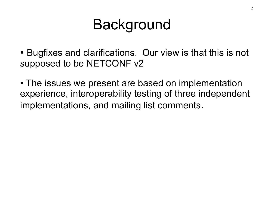## **Background**

- Bugfixes and clarifications. Our view is that this is not supposed to be NETCONF v2
- The issues we present are based on implementation experience, interoperability testing of three independent implementations, and mailing list comments.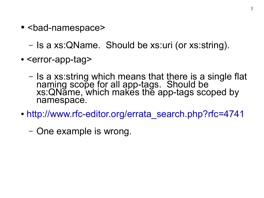• <bad-namespace>

– Is a xs:QName. Should be xs:uri (or xs:string).

- <error-app-tag>
	- Is a xs:string which means that there is a single flat naming scope for all app-tags. Should be xs:QName, which makes the app-tags scoped by namespace.
- http://www.rfc-editor.org/errata search.php?rfc=4741
	- One example is wrong.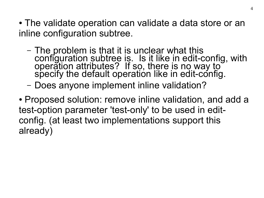- The validate operation can validate a data store or an inline configuration subtree.
	- The problem is that it is unclear what this configuration subtree is. Is it like in edit-config, with operation attributes? If so, there is no way to specify the default operation like in edit-config.
	- Does anyone implement inline validation?
- Proposed solution: remove inline validation, and add a test-option parameter 'test-only' to be used in editconfig. (at least two implementations support this already)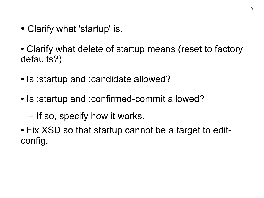• Clarify what 'startup' is.

• Clarify what delete of startup means (reset to factory defaults?)

- Is : startup and : candidate allowed?
- Is : startup and : confirmed-commit allowed?

– If so, specify how it works.

• Fix XSD so that startup cannot be a target to editconfig.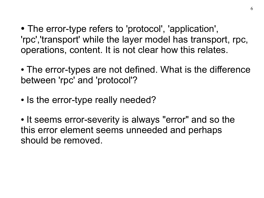• The error-type refers to 'protocol', 'application', 'rpc','transport' while the layer model has transport, rpc, operations, content. It is not clear how this relates.

• The error-types are not defined. What is the difference between 'rpc' and 'protocol'?

• Is the error-type really needed?

• It seems error-severity is always "error" and so the this error element seems unneeded and perhaps should be removed.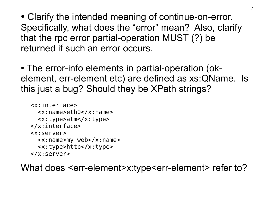• Clarify the intended meaning of continue-on-error. Specifically, what does the "error" mean? Also, clarify that the rpc error partial-operation MUST (?) be returned if such an error occurs.

• The error-info elements in partial-operation (okelement, err-element etc) are defined as xs:QName. Is this just a bug? Should they be XPath strings?

```
<x:interface>
   <x:name>eth0</x:name>
   <x:type>atm</x:type>
</x:interface>
<x:server>
  \langle x:name>my web\langle x:name> <x:type>http</x:type>
</x:server>
```
What does <err-element>x:type<err-element> refer to?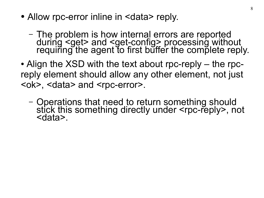- Allow rpc-error inline in <data> reply.
	- The problem is how internal errors are reported during <get> and <get-config> processing without requiring the agent to first buffer the complete reply.
- Align the XSD with the text about rpc-reply the rpcreply element should allow any other element, not just <ok>, <data> and <rpc-error>.
	- Operations that need to return something should stick this something directly under <rpc-reply>, not <data>.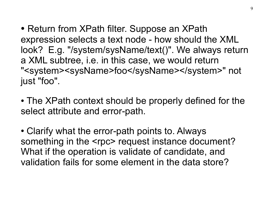• Return from XPath filter. Suppose an XPath expression selects a text node - how should the XML look? E.g. "/system/sysName/text()". We always return a XML subtree, i.e. in this case, we would return "<system><sysName>foo</sysName></system>" not just "foo".

• The XPath context should be properly defined for the select attribute and error-path.

• Clarify what the error-path points to. Always something in the <rpc> request instance document? What if the operation is validate of candidate, and validation fails for some element in the data store?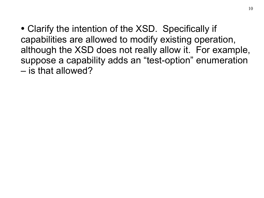• Clarify the intention of the XSD. Specifically if capabilities are allowed to modify existing operation, although the XSD does not really allow it. For example, suppose a capability adds an "test-option" enumeration – is that allowed?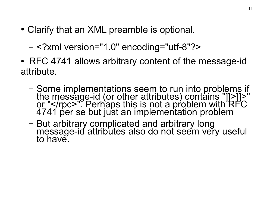• Clarify that an XML preamble is optional.

– <?xml version="1.0" encoding="utf-8"?>

- RFC 4741 allows arbitrary content of the message-id attribute.
	- Some implementations seem to run into problems if the message-id (or other attributes) contains "]]>]]>" or "</rpc>" Perhaps this is not a problem with RFC 4741 per se but just an implementation problem
	- But arbitrary complicated and arbitrary long message-id attributes also do not seem very useful to have.